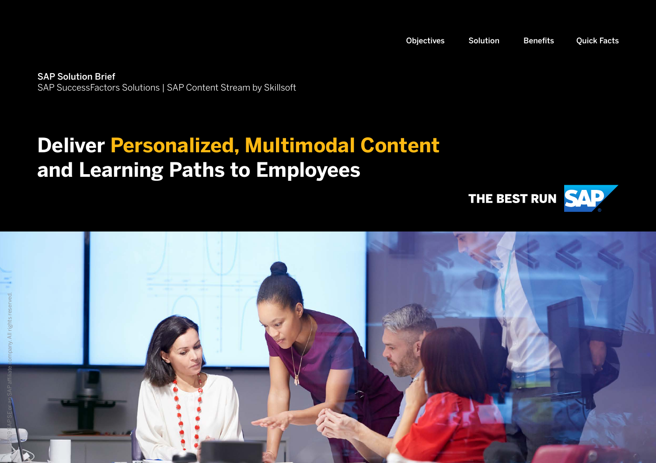<span id="page-0-0"></span>SAP Solution Brief SAP SuccessFactors Solutions | SAP Content Stream by Skillsoft

## **Deliver Personalized, Multimodal Content and Learning Paths to Employees**



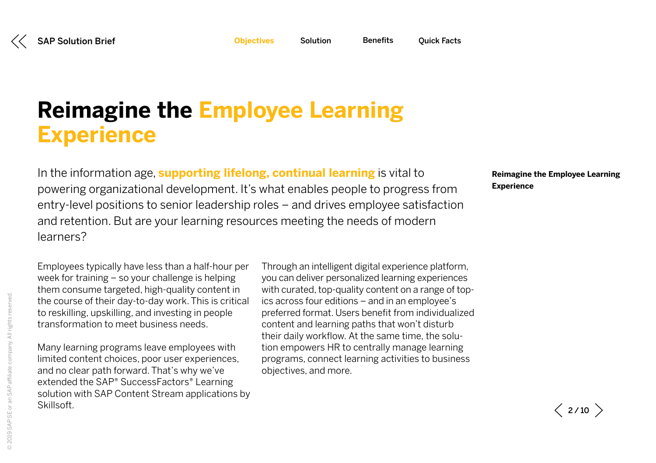<span id="page-1-0"></span>**Objectives**

# **Reimagine the Employee Learning Experience**

In the information age, **supporting lifelong, continual learning** is vital to powering organizational development. It's what enables people to progress from entry-level positions to senior leadership roles – and drives employee satisfaction and retention. But are your learning resources meeting the needs of modern learners?

**Reimagine the Employee Learning Experience**

Employees typically have less than a half-hour per week for training – so your challenge is helping them consume targeted, high-quality content in the course of their day-to-day work. This is critical to reskilling, upskilling, and investing in people transformation to meet business needs.

Many learning programs leave employees with limited content choices, poor user experiences, and no clear path forward. That's why we've extended the SAP® SuccessFactors® Learning solution with SAP Content Stream applications by Skillsoft.

Through an intelligent digital experience platform, you can deliver personalized learning experiences with curated, top-quality content on a range of topics across four editions – and in an employee's preferred format. Users benefit from individualized content and learning paths that won't disturb their daily workflow. At the same time, the solution empowers HR to centrally manage learning programs, connect learning activities to business objectives, and more.

 $\langle$  2/10  $\rangle$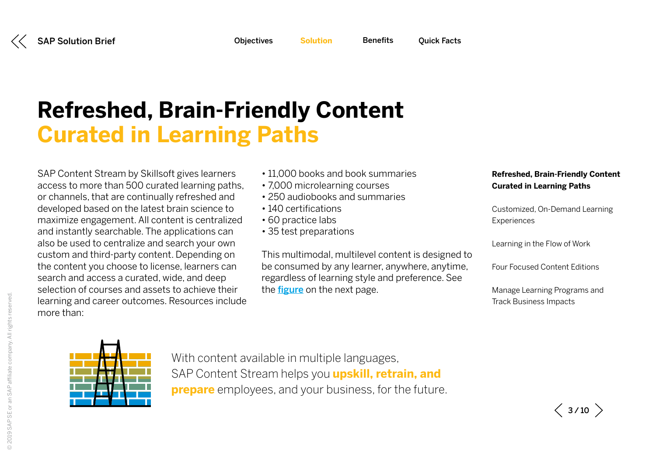| <b>Objectives</b><br><b>Quick Facts</b><br><b>Benefits</b> |
|------------------------------------------------------------|
|------------------------------------------------------------|

<span id="page-2-0"></span>

# <span id="page-2-1"></span>**Refreshed, Brain-Friendly Content Curated in Learning Paths**

SAP Content Stream by Skillsoft gives learners access to more than 500 curated learning paths, or channels, that are continually refreshed and developed based on the latest brain science to maximize engagement. All content is centralized and instantly searchable. The applications can also be used to centralize and search your own custom and third-party content. Depending on the content you choose to license, learners can search and access a curated, wide, and deep selection of courses and assets to achieve their learning and career outcomes. Resources include more than:

- 11,000 books and book summaries
- 7,000 microlearning courses
- 250 audiobooks and summaries
- 140 certifications
- 60 practice labs
- 35 test preparations

This multimodal, multilevel content is designed to be consumed by any learner, anywhere, anytime, regardless of learning style and preference. See the **[figure](#page-3-0)** on the next page.

### **Refreshed, Brain-Friendly Content Curated in Learning Paths**

[Customized, On-Demand Learning](#page-4-0)  **[Experiences](#page-4-0)** 

[Learning in the Flow of Work](#page-5-0)

[Four Focused Content Editions](#page-6-0) 

[Manage Learning Programs and](#page-7-0)  [Track Business Impacts](#page-7-0) 



With content available in multiple languages, SAP Content Stream helps you **upskill, retrain, and prepare** employees, and your business, for the future.

 $\langle$  3/10  $\rangle$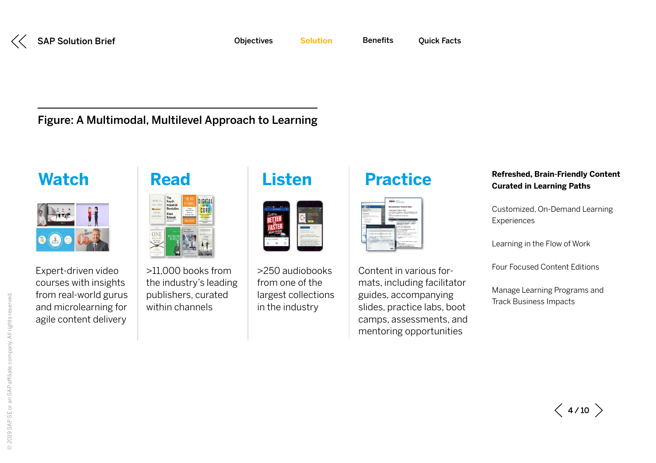<span id="page-3-0"></span>

Figure: A Multimodal, Multilevel Approach to Learning



Expert-driven video courses with insights from real-world gurus and microlearning for agile content delivery



>11,000 books from the industry's leading publishers, curated within channels

| Ожники                        |                                                                                                             |
|-------------------------------|-------------------------------------------------------------------------------------------------------------|
| BETTER                        |                                                                                                             |
| <b>CONTROL</b><br><b>SHOW</b> |                                                                                                             |
| ¢                             | $-11$<br>AND HOT<br>a Maria Andrew<br>of a cast he was at<br>Mar Allis<br>which will be developed to delive |

>250 audiobooks from one of the largest collections in the industry

### **Watch Read Listen Practice**

| $\overline{\phantom{a}}$                                                                                                                                                                                                                                                  | and the company of the company of<br><b>CONTRACTOR</b>                                                                                                                                                                                                                                                                                                                                                                                                       |
|---------------------------------------------------------------------------------------------------------------------------------------------------------------------------------------------------------------------------------------------------------------------------|--------------------------------------------------------------------------------------------------------------------------------------------------------------------------------------------------------------------------------------------------------------------------------------------------------------------------------------------------------------------------------------------------------------------------------------------------------------|
| the company's product the company's<br>lv n                                                                                                                                                                                                                               | <b>Bensie Berker Faciliates Batty</b>                                                                                                                                                                                                                                                                                                                                                                                                                        |
| <b>Subscribed</b><br>Minimum Scottish Texas<br><b>STATISTICS</b><br>٠<br>tenderice<br><b><i><u>A department for the program of the set</u></i></b><br>and it is a firmly been as the                                                                                      | between the set the University Change of Concernsion and<br>for the difference could be a complete to the first product of the complete<br>the following completes contract the product of the following<br>Contract Communication of the Middle Communication<br>and the first product of the con-<br><b><i>International Constitution Constitution</i></b>                                                                                                 |
| -----<br><br><b>STORY OF</b><br><b>CONTRACTOR</b><br><b>COLLECTIVE</b><br><b>CONTRACTOR</b><br>۰<br>to product partial star for between a site at your<br>-<br>$\sim$<br><b>CALCULATION</b><br>---<br>because to prove to stight a phone to a school<br><b>CONTRACTOR</b> | <b>Hill and County</b><br>- -<br>the state and process continued to the term of the first<br><b>LEW CONTRACTOR</b> CONTRACTOR CONTRACTOR<br><b>Bill Walnut Links</b><br><b>Concrete Service Street</b><br><b>CALCULATION INCOME.</b><br>CONTROLL COMPANY<br><b>BUR RATION LOS CONTINUES</b><br>The distance in a departure<br><br>÷<br>The complete control<br>The company's company's company's<br>Contractor of the contractor of the con-<br><b>STATE</b> |
| THE PRODUCTS CAPTULE THE R. P. LEWIS<br>÷<br>---<br><b>CARD COMMAND</b>                                                                                                                                                                                                   | In this work is a dealer from the con-<br><b>Services</b><br><b>BUSINESS INTERNATIONAL</b><br><b>BURGLING MAKES WAS</b>                                                                                                                                                                                                                                                                                                                                      |

Content in various formats, including facilitator guides, accompanying slides, practice labs, boot camps, assessments, and mentoring opportunities

### **[Refreshed, Brain-Friendly Content](#page-2-1)  [Curated in Learning Paths](#page-2-1)**

[Customized, On-Demand Learning](#page-4-0)  [Experiences](#page-4-0)

[Learning in the Flow of Work](#page-5-0)

[Four Focused Content Editions](#page-6-0) 

[Manage Learning Programs and](#page-7-0)  [Track Business Impacts](#page-7-0)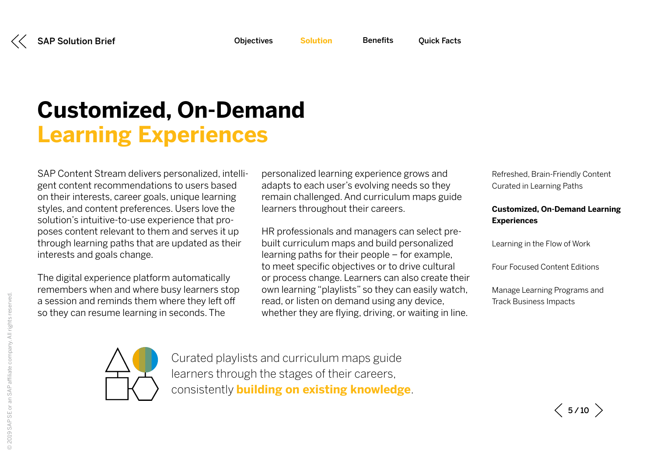**[Benefits](#page-8-0)** 

# <span id="page-4-0"></span>**Customized, On-Demand Learning Experiences**

SAP Content Stream delivers personalized, intelligent content recommendations to users based on their interests, career goals, unique learning styles, and content preferences. Users love the solution's intuitive-to-use experience that proposes content relevant to them and serves it up through learning paths that are updated as their interests and goals change.

The digital experience platform automatically remembers when and where busy learners stop a session and reminds them where they left off so they can resume learning in seconds. The

personalized learning experience grows and adapts to each user's evolving needs so they remain challenged. And curriculum maps guide learners throughout their careers.

HR professionals and managers can select prebuilt curriculum maps and build personalized learning paths for their people – for example, to meet specific objectives or to drive cultural or process change. Learners can also create their own learning "playlists" so they can easily watch, read, or listen on demand using any device, whether they are flying, driving, or waiting in line.

[Refreshed, Brain-Friendly Content](#page-2-1)  [Curated in Learning Paths](#page-2-1)

### **Customized, On-Demand Learning Experiences**

[Learning in the Flow of Work](#page-5-0)

[Four Focused Content Editions](#page-6-0) 

[Manage Learning Programs and](#page-7-0)  [Track Business Impacts](#page-7-0) 



Curated playlists and curriculum maps guide learners through the stages of their careers, consistently **building on existing knowledge**.

 $\langle$  5/10  $\rangle$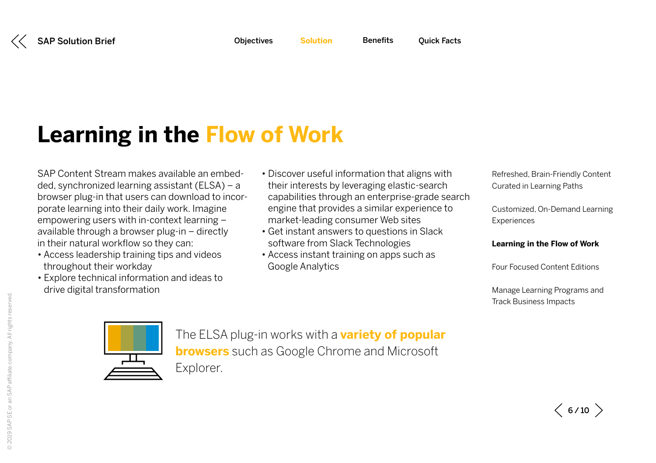# <span id="page-5-0"></span>**Learning in the Flow of Work**

SAP Content Stream makes available an embedded, synchronized learning assistant (ELSA) – a browser plug-in that users can download to incorporate learning into their daily work. Imagine empowering users with in-context learning – available through a browser plug-in – directly in their natural workflow so they can:

- Access leadership training tips and videos throughout their workday
- Explore technical information and ideas to drive digital transformation
- Discover useful information that aligns with their interests by leveraging elastic-search capabilities through an enterprise-grade search engine that provides a similar experience to market-leading consumer Web sites
- Get instant answers to questions in Slack software from Slack Technologies
- Access instant training on apps such as Google Analytics

[Refreshed, Brain-Friendly Content](#page-2-1)  [Curated in Learning Paths](#page-2-1)

[Customized, On-Demand Learning](#page-4-0)  **[Experiences](#page-4-0)** 

#### **Learning in the Flow of Work**

[Four Focused Content Editions](#page-6-0) 

[Manage Learning Programs and](#page-7-0)  [Track Business Impacts](#page-7-0) 



The ELSA plug-in works with a **variety of popular browsers** such as Google Chrome and Microsoft Explorer.

 $\langle$  6/10  $\rangle$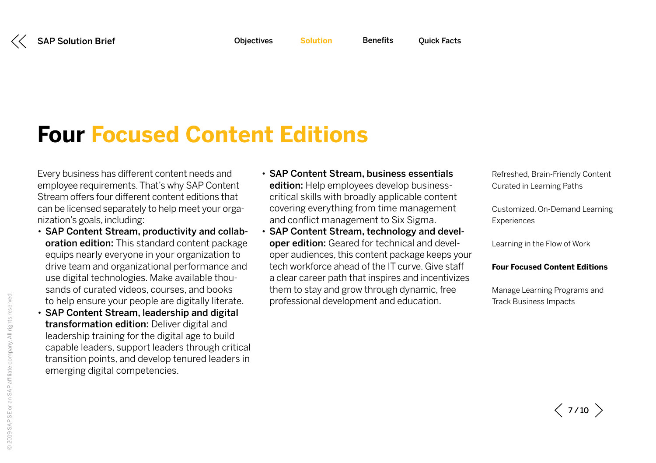<span id="page-6-0"></span>

# **Four Focused Content Editions**

Every business has different content needs and employee requirements. That's why SAP Content Stream offers four different content editions that can be licensed separately to help meet your organization's goals, including:

- SAP Content Stream, productivity and collaboration edition: This standard content package equips nearly everyone in your organization to drive team and organizational performance and use digital technologies. Make available thousands of curated videos, courses, and books to help ensure your people are digitally literate.
- SAP Content Stream, leadership and digital transformation edition: Deliver digital and leadership training for the digital age to build capable leaders, support leaders through critical transition points, and develop tenured leaders in emerging digital competencies.
- SAP Content Stream, business essentials edition: Help employees develop businesscritical skills with broadly applicable content covering everything from time management and conflict management to Six Sigma.
- SAP Content Stream, technology and developer edition: Geared for technical and developer audiences, this content package keeps your tech workforce ahead of the IT curve. Give staff a clear career path that inspires and incentivizes them to stay and grow through dynamic, free professional development and education.

[Refreshed, Brain-Friendly Content](#page-2-1)  [Curated in Learning Paths](#page-2-1)

[Customized, On-Demand Learning](#page-4-0)  **[Experiences](#page-4-0)** 

[Learning in the Flow of Work](#page-5-0)

#### **Four Focused Content Editions**

[Manage Learning Programs and](#page-7-0)  [Track Business Impacts](#page-7-0) 

 $\langle$  7/10  $\rangle$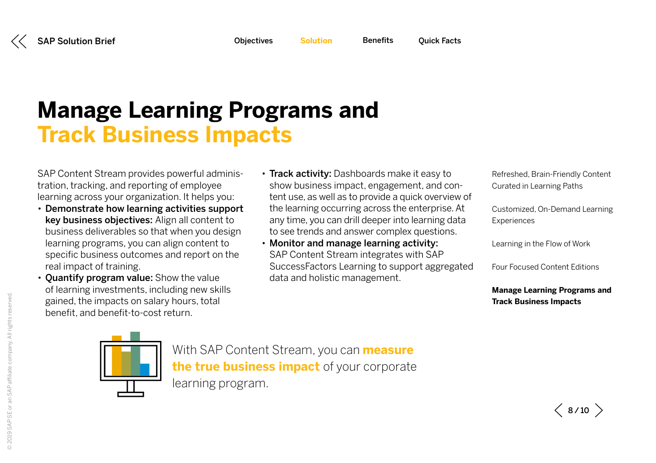# <span id="page-7-0"></span>**Manage Learning Programs and Track Business Impacts**

SAP Content Stream provides powerful administration, tracking, and reporting of employee learning across your organization. It helps you:

- Demonstrate how learning activities support key business objectives: Align all content to business deliverables so that when you design learning programs, you can align content to specific business outcomes and report on the real impact of training.
- Quantify program value: Show the value of learning investments, including new skills gained, the impacts on salary hours, total benefit, and benefit-to-cost return.
- Track activity: Dashboards make it easy to show business impact, engagement, and content use, as well as to provide a quick overview of the learning occurring across the enterprise. At any time, you can drill deeper into learning data to see trends and answer complex questions.

**[Benefits](#page-8-0)** 

• Monitor and manage learning activity: SAP Content Stream integrates with SAP SuccessFactors Learning to support aggregated data and holistic management.

[Refreshed, Brain-Friendly Content](#page-2-1)  [Curated in Learning Paths](#page-2-1)

[Customized, On-Demand Learning](#page-4-0)  **[Experiences](#page-4-0)** 

[Learning in the Flow of Work](#page-5-0)

[Four Focused Content Editions](#page-6-0) 

**Manage Learning Programs and Track Business Impacts**



With SAP Content Stream, you can **measure the true business impact** of your corporate learning program.

 $\langle$  8/10  $\rangle$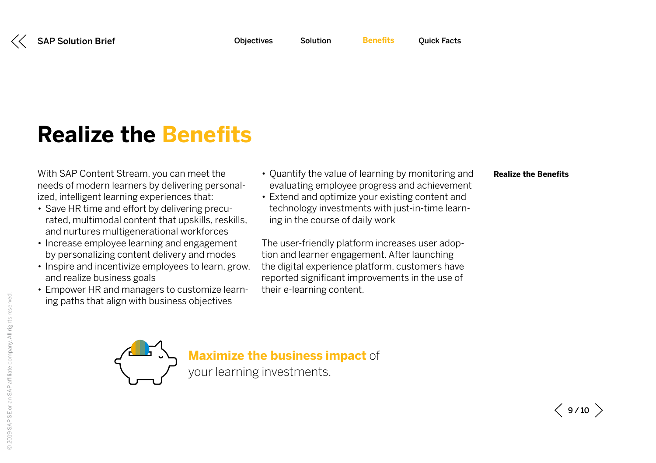# <span id="page-8-0"></span>**Realize the Benefits**

With SAP Content Stream, you can meet the needs of modern learners by delivering personalized, intelligent learning experiences that:

- Save HR time and effort by delivering precurated, multimodal content that upskills, reskills, and nurtures multigenerational workforces
- Increase employee learning and engagement by personalizing content delivery and modes
- Inspire and incentivize employees to learn, grow, and realize business goals
- Empower HR and managers to customize learning paths that align with business objectives
- Quantify the value of learning by monitoring and evaluating employee progress and achievement
- Extend and optimize your existing content and technology investments with just-in-time learning in the course of daily work

The user-friendly platform increases user adoption and learner engagement. After launching the digital experience platform, customers have reported significant improvements in the use of their e-learning content.

#### **Realize the Benefits**



**Maximize the business impact** of

your learning investments.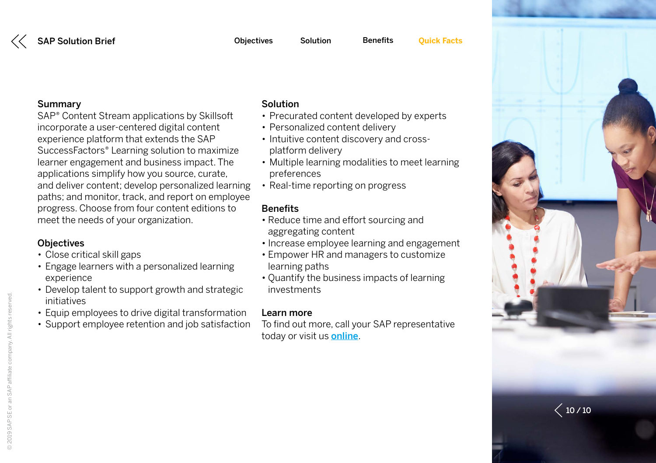SAP® Content Stream applications by Skillsoft incorporate a user-centered digital content experience platform that extends the SAP SuccessFactors® Learning solution to maximize learner engagement and business impact. The applications simplify how you source, curate, and deliver content; develop personalized learning paths; and monitor, track, and report on employee progress. Choose from four content editions to meet the needs of your organization.

### **Objectives**

- Close critical skill gaps
- Engage learners with a personalized learning experience
- Develop talent to support growth and strategic initiatives
- Equip employees to drive digital transformation
- Support employee retention and job satisfaction

### Solution

- Precurated content developed by experts
- Personalized content delivery
- Intuitive content discovery and crossplatform delivery
- Multiple learning modalities to meet learning preferences
- Real-time reporting on progress

### **Benefits**

- Reduce time and effort sourcing and aggregating content
- Increase employee learning and engagement
- Empower HR and managers to customize learning paths
- Quantify the business impacts of learning investments

### Learn more

To find out more, call your SAP representative today or visit us **[online](http://www.sap.com/products/content-stream-skillsoft.html)**.

<span id="page-9-0"></span>